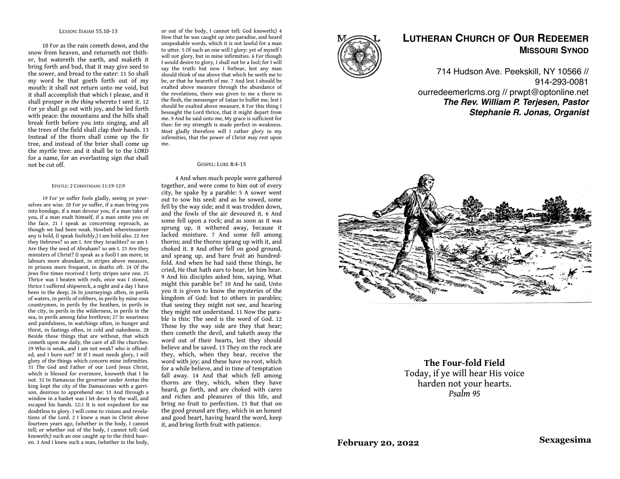### LESSON: ISAIAH 55.10-13

10 For as the rain cometh down, and the snow from heaven, and returneth not thither, but watereth the earth, and maketh it bring forth and bud, that it may give seed to the sower, and bread to the eater: 11 So shall my word be that goeth forth out of my mouth: it shall not return unto me void, but it shall accomplish that which I please, and it shall prosper *in the thing* whereto I sent it. 12 For ye shall go out with joy, and be led forth with peace: the mountains and the hills shall break forth before you into singing, and all the trees of the field shall clap *their* hands. 13 Instead of the thorn shall come up the fir tree, and instead of the brier shall come up the myrtle tree: and it shall be to the LORD for a name, for an everlasting sign *that* shall not be cut off.

#### EPISTLE: 2 CORINTHIANS 11:19-12:9

19 For ye suffer fools gladly, seeing ye yourselves are wise. 20 For ye suffer, if a man bring you into bondage, if a man devour you, if a man take of you, if a man exalt himself, if a man smite you on the face. 21 I speak as concerning reproach, as though we had been weak. Howbeit whereinsoever any is bold, (I speak foolishly,) I am bold also. 22 Are they Hebrews? so am I. Are they Israelites? so am I. Are they the seed of Abraham? so am I. 23 Are they ministers of Christ? (I speak as a fool) I am more; in labours more abundant, in stripes above measure, in prisons more frequent, in deaths oft. 24 Of the Jews five times received I forty stripes save one. 25 Thrice was I beaten with rods, once was I stoned, thrice I suffered shipwreck, a night and a day I have been in the deep; 26 In journeyings often, in perils of waters, in perils of robbers, in perils by mine own countrymen, in perils by the heathen, in perils in the city, in perils in the wilderness, in perils in the sea, in perils among false brethren; 27 In weariness and painfulness, in watchings often, in hunger and thirst, in fastings often, in cold and nakedness. 28 Beside those things that are without, that which cometh upon me daily, the care of all the churches. 29 Who is weak, and I am not weak? who is offended, and I burn not? 30 If I must needs glory, I will glory of the things which concern mine infirmities. 31 The God and Father of our Lord Jesus Christ, which is blessed for evermore, knoweth that I lie not. 32 In Damascus the governor under Aretas the king kept the city of the Damascenes with a garrison, desirous to apprehend me: 33 And through a window in a basket was I let down by the wall, and escaped his hands. 12:1 It is not expedient for me doubtless to glory. I will come to visions and revelations of the Lord. 2 I knew a man in Christ above fourteen years ago, (whether in the body, I cannot tell; or whether out of the body, I cannot tell: God knoweth;) such an one caught up to the third heaven. 3 And I knew such a man, (whether in the body,

or out of the body, I cannot tell: God knoweth;) 4 How that he was caught up into paradise, and heard unspeakable words, which it is not lawful for a man to utter. 5 Of such an one will I glory: yet of myself I will not glory, but in mine infirmities. 6 For though I would desire to glory, I shall not be a fool; for I will say the truth: but now I forbear, lest any man should think of me above that which he seeth me to be, or that he heareth of me. 7 And lest I should be exalted above measure through the abundance of the revelations, there was given to me a thorn in the flesh, the messenger of Satan to buffet me, lest I should be exalted above measure. 8 For this thing I besought the Lord thrice, that it might depart from me. 9 And he said unto me, My grace is sufficient for thee: for my strength is made perfect in weakness. Most gladly therefore will I rather glory in my infirmities, that the power of Christ may rest upon me.

### GOSPEL: LUKE 8:4-15

4 And when much people were gathered together, and were come to him out of every city, he spake by a parable: 5 A sower went out to sow his seed: and as he sowed, some fell by the way side; and it was trodden down, and the fowls of the air devoured it. 6 And some fell upon a rock; and as soon as it was sprung up, it withered away, because it lacked moisture. 7 And some fell among thorns; and the thorns sprang up with it, and choked it. 8 And other fell on good ground, and sprang up, and bare fruit an hundredfold. And when he had said these things, he cried, He that hath ears to hear, let him hear. 9 And his disciples asked him, saying, What might this parable be? 10 And he said, Unto you it is given to know the mysteries of the kingdom of God: but to others in parables; that seeing they might not see, and hearing they might not understand. 11 Now the parable is this: The seed is the word of God. 12 Those by the way side are they that hear; then cometh the devil, and taketh away the word out of their hearts, lest they should believe and be saved. 13 They on the rock are they, which, when they hear, receive the word with joy; and these have no root, which for a while believe, and in time of temptation fall away. 14 And that which fell among thorns are they, which, when they have heard, go forth, and are choked with cares and riches and pleasures of this life, and bring no fruit to perfection. 15 But that on the good ground are they, which in an honest and good heart, having heard the word, keep it, and bring forth fruit with patience.



## **LUTHERAN CHURCH OF OUR REDEEMER MISSOURI SYNOD**

714 Hudson Ave. Peekskill, NY 10566 // 914-293-0081 ourredeemerlcms.org // prwpt@optonline.net *The Rev. William P. Terjesen, Pastor Stephanie R. Jonas, Organist*



**The Four-fold Field** Today, if ye will hear His voice harden not your hearts. *Psalm 95*